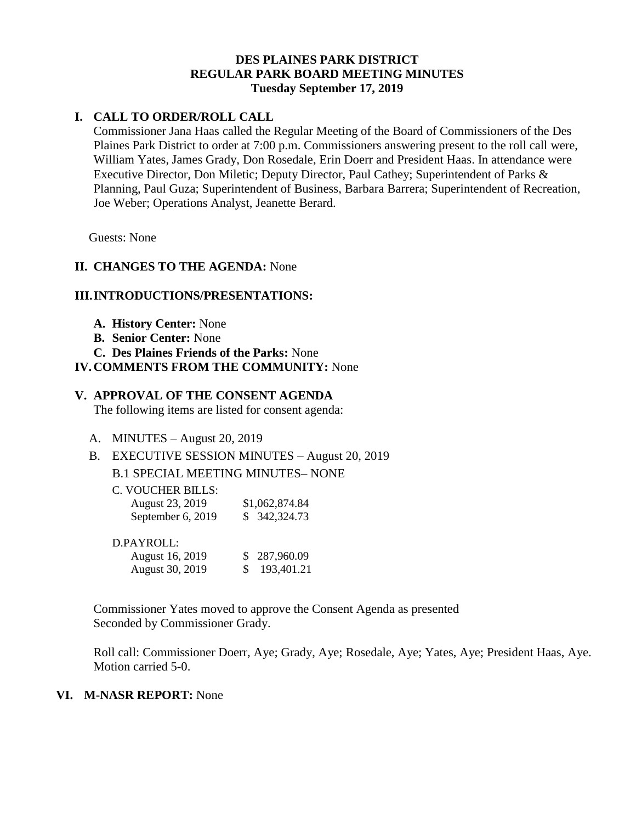## **DES PLAINES PARK DISTRICT REGULAR PARK BOARD MEETING MINUTES Tuesday September 17, 2019**

## **I. CALL TO ORDER/ROLL CALL**

Commissioner Jana Haas called the Regular Meeting of the Board of Commissioners of the Des Plaines Park District to order at 7:00 p.m. Commissioners answering present to the roll call were, William Yates, James Grady, Don Rosedale, Erin Doerr and President Haas. In attendance were Executive Director, Don Miletic; Deputy Director, Paul Cathey; Superintendent of Parks & Planning, Paul Guza; Superintendent of Business, Barbara Barrera; Superintendent of Recreation, Joe Weber; Operations Analyst, Jeanette Berard.

Guests: None

## **II. CHANGES TO THE AGENDA:** None

### **III.INTRODUCTIONS/PRESENTATIONS:**

- **A. History Center:** None
- **B. Senior Center:** None
- **C. Des Plaines Friends of the Parks:** None
- **IV.COMMENTS FROM THE COMMUNITY:** None

#### **V. APPROVAL OF THE CONSENT AGENDA**

The following items are listed for consent agenda:

- A. MINUTES August 20, 2019
- B. EXECUTIVE SESSION MINUTES August 20, 2019

B.1 SPECIAL MEETING MINUTES– NONE

C. VOUCHER BILLS:

| August 23, 2019   | \$1,062,874.84 |
|-------------------|----------------|
| September 6, 2019 | \$ 342,324.73  |

August 30, 2019 \$ 193,401.21

| D.PAYROLL:      |              |
|-----------------|--------------|
| August 16, 2019 | \$287,960.09 |

Commissioner Yates moved to approve the Consent Agenda as presented Seconded by Commissioner Grady.

Roll call: Commissioner Doerr, Aye; Grady, Aye; Rosedale, Aye; Yates, Aye; President Haas, Aye. Motion carried 5-0.

#### **VI. M-NASR REPORT:** None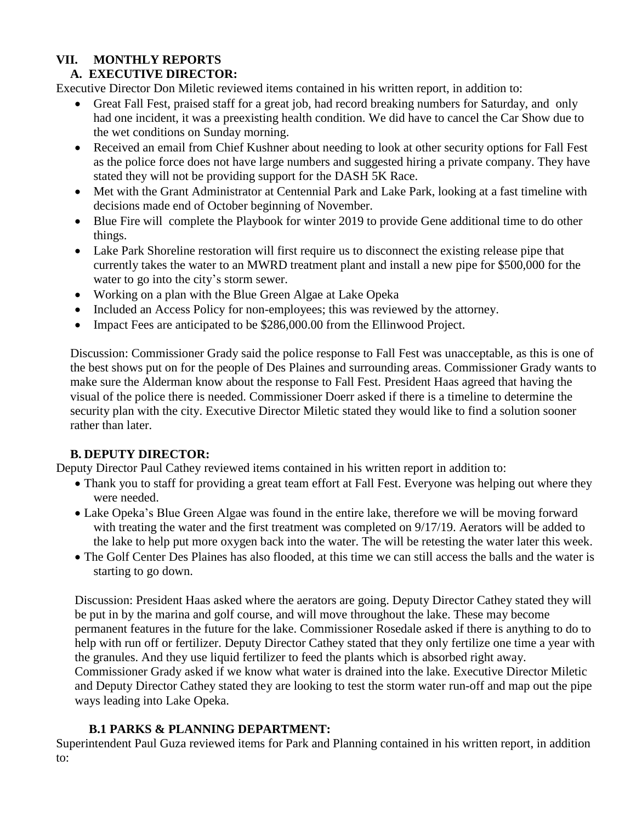# **VII. MONTHLY REPORTS**

# **A. EXECUTIVE DIRECTOR:**

Executive Director Don Miletic reviewed items contained in his written report, in addition to:

- Great Fall Fest, praised staff for a great job, had record breaking numbers for Saturday, and only had one incident, it was a preexisting health condition. We did have to cancel the Car Show due to the wet conditions on Sunday morning.
- Received an email from Chief Kushner about needing to look at other security options for Fall Fest as the police force does not have large numbers and suggested hiring a private company. They have stated they will not be providing support for the DASH 5K Race.
- Met with the Grant Administrator at Centennial Park and Lake Park, looking at a fast timeline with decisions made end of October beginning of November.
- Blue Fire will complete the Playbook for winter 2019 to provide Gene additional time to do other things.
- Lake Park Shoreline restoration will first require us to disconnect the existing release pipe that currently takes the water to an MWRD treatment plant and install a new pipe for \$500,000 for the water to go into the city's storm sewer.
- Working on a plan with the Blue Green Algae at Lake Opeka
- Included an Access Policy for non-employees; this was reviewed by the attorney.
- Impact Fees are anticipated to be \$286,000.00 from the Ellinwood Project.

Discussion: Commissioner Grady said the police response to Fall Fest was unacceptable, as this is one of the best shows put on for the people of Des Plaines and surrounding areas. Commissioner Grady wants to make sure the Alderman know about the response to Fall Fest. President Haas agreed that having the visual of the police there is needed. Commissioner Doerr asked if there is a timeline to determine the security plan with the city. Executive Director Miletic stated they would like to find a solution sooner rather than later.

# **B. DEPUTY DIRECTOR:**

Deputy Director Paul Cathey reviewed items contained in his written report in addition to:

- Thank you to staff for providing a great team effort at Fall Fest. Everyone was helping out where they were needed.
- Lake Opeka's Blue Green Algae was found in the entire lake, therefore we will be moving forward with treating the water and the first treatment was completed on 9/17/19. Aerators will be added to the lake to help put more oxygen back into the water. The will be retesting the water later this week.
- The Golf Center Des Plaines has also flooded, at this time we can still access the balls and the water is starting to go down.

Discussion: President Haas asked where the aerators are going. Deputy Director Cathey stated they will be put in by the marina and golf course, and will move throughout the lake. These may become permanent features in the future for the lake. Commissioner Rosedale asked if there is anything to do to help with run off or fertilizer. Deputy Director Cathey stated that they only fertilize one time a year with the granules. And they use liquid fertilizer to feed the plants which is absorbed right away. Commissioner Grady asked if we know what water is drained into the lake. Executive Director Miletic and Deputy Director Cathey stated they are looking to test the storm water run-off and map out the pipe ways leading into Lake Opeka.

# **B.1 PARKS & PLANNING DEPARTMENT:**

Superintendent Paul Guza reviewed items for Park and Planning contained in his written report, in addition to: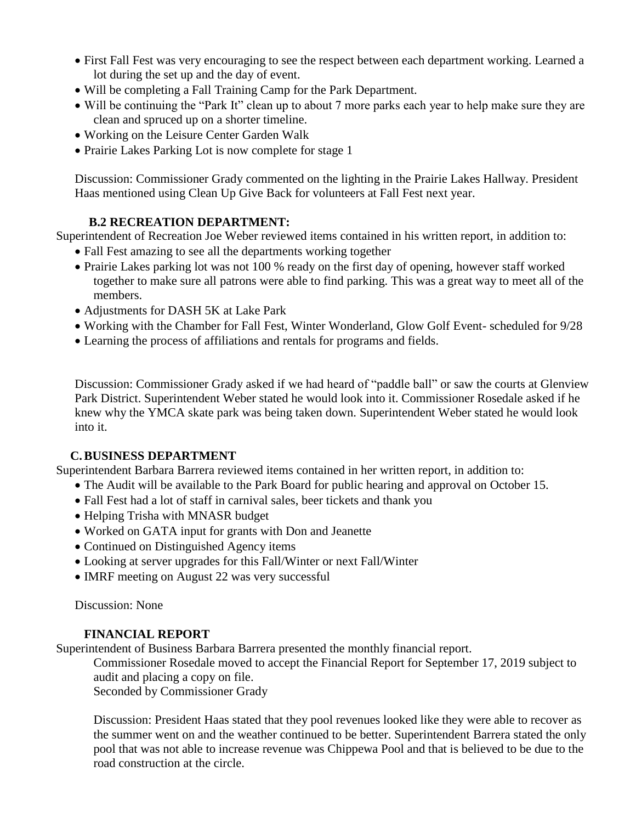- First Fall Fest was very encouraging to see the respect between each department working. Learned a lot during the set up and the day of event.
- Will be completing a Fall Training Camp for the Park Department.
- Will be continuing the "Park It" clean up to about 7 more parks each year to help make sure they are clean and spruced up on a shorter timeline.
- Working on the Leisure Center Garden Walk
- Prairie Lakes Parking Lot is now complete for stage 1

Discussion: Commissioner Grady commented on the lighting in the Prairie Lakes Hallway. President Haas mentioned using Clean Up Give Back for volunteers at Fall Fest next year.

## **B.2 RECREATION DEPARTMENT:**

Superintendent of Recreation Joe Weber reviewed items contained in his written report, in addition to:

- Fall Fest amazing to see all the departments working together
- Prairie Lakes parking lot was not 100 % ready on the first day of opening, however staff worked together to make sure all patrons were able to find parking. This was a great way to meet all of the members.
- Adjustments for DASH 5K at Lake Park
- Working with the Chamber for Fall Fest, Winter Wonderland, Glow Golf Event- scheduled for 9/28
- Learning the process of affiliations and rentals for programs and fields.

Discussion: Commissioner Grady asked if we had heard of "paddle ball" or saw the courts at Glenview Park District. Superintendent Weber stated he would look into it. Commissioner Rosedale asked if he knew why the YMCA skate park was being taken down. Superintendent Weber stated he would look into it.

# **C.BUSINESS DEPARTMENT**

Superintendent Barbara Barrera reviewed items contained in her written report, in addition to:

- The Audit will be available to the Park Board for public hearing and approval on October 15.
- Fall Fest had a lot of staff in carnival sales, beer tickets and thank you
- Helping Trisha with MNASR budget
- Worked on GATA input for grants with Don and Jeanette
- Continued on Distinguished Agency items
- Looking at server upgrades for this Fall/Winter or next Fall/Winter
- IMRF meeting on August 22 was very successful

Discussion: None

## **FINANCIAL REPORT**

Superintendent of Business Barbara Barrera presented the monthly financial report.

Commissioner Rosedale moved to accept the Financial Report for September 17, 2019 subject to audit and placing a copy on file.

Seconded by Commissioner Grady

Discussion: President Haas stated that they pool revenues looked like they were able to recover as the summer went on and the weather continued to be better. Superintendent Barrera stated the only pool that was not able to increase revenue was Chippewa Pool and that is believed to be due to the road construction at the circle.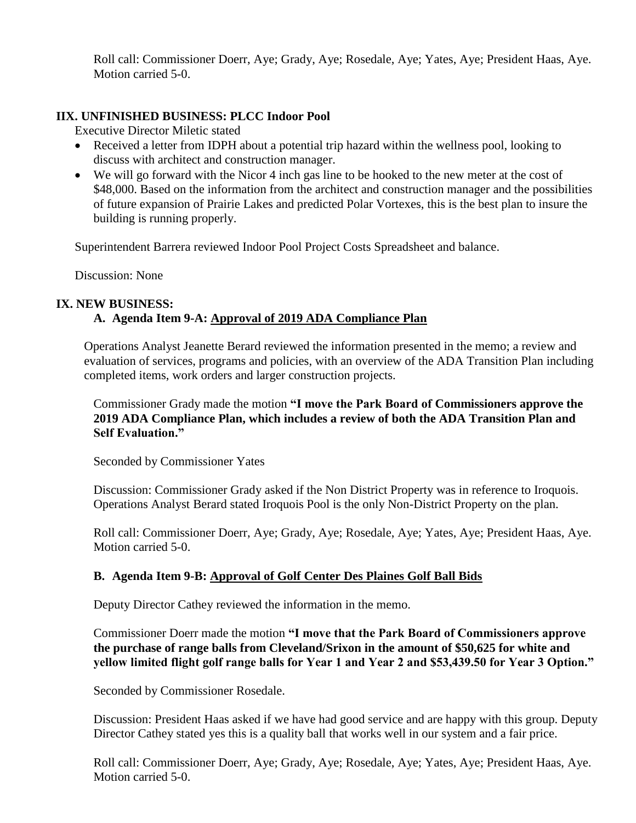Roll call: Commissioner Doerr, Aye; Grady, Aye; Rosedale, Aye; Yates, Aye; President Haas, Aye. Motion carried 5-0.

### **IIX. UNFINISHED BUSINESS: PLCC Indoor Pool**

Executive Director Miletic stated

- Received a letter from IDPH about a potential trip hazard within the wellness pool, looking to discuss with architect and construction manager.
- We will go forward with the Nicor 4 inch gas line to be hooked to the new meter at the cost of \$48,000. Based on the information from the architect and construction manager and the possibilities of future expansion of Prairie Lakes and predicted Polar Vortexes, this is the best plan to insure the building is running properly.

Superintendent Barrera reviewed Indoor Pool Project Costs Spreadsheet and balance.

Discussion: None

#### **IX. NEW BUSINESS:**

## **A. Agenda Item 9-A: Approval of 2019 ADA Compliance Plan**

Operations Analyst Jeanette Berard reviewed the information presented in the memo; a review and evaluation of services, programs and policies, with an overview of the ADA Transition Plan including completed items, work orders and larger construction projects.

Commissioner Grady made the motion **"I move the Park Board of Commissioners approve the 2019 ADA Compliance Plan, which includes a review of both the ADA Transition Plan and Self Evaluation."**

Seconded by Commissioner Yates

Discussion: Commissioner Grady asked if the Non District Property was in reference to Iroquois. Operations Analyst Berard stated Iroquois Pool is the only Non-District Property on the plan.

Roll call: Commissioner Doerr, Aye; Grady, Aye; Rosedale, Aye; Yates, Aye; President Haas, Aye. Motion carried 5-0.

#### **B. Agenda Item 9-B: Approval of Golf Center Des Plaines Golf Ball Bids**

Deputy Director Cathey reviewed the information in the memo.

Commissioner Doerr made the motion **"I move that the Park Board of Commissioners approve the purchase of range balls from Cleveland/Srixon in the amount of \$50,625 for white and yellow limited flight golf range balls for Year 1 and Year 2 and \$53,439.50 for Year 3 Option."**

Seconded by Commissioner Rosedale.

Discussion: President Haas asked if we have had good service and are happy with this group. Deputy Director Cathey stated yes this is a quality ball that works well in our system and a fair price.

Roll call: Commissioner Doerr, Aye; Grady, Aye; Rosedale, Aye; Yates, Aye; President Haas, Aye. Motion carried 5-0.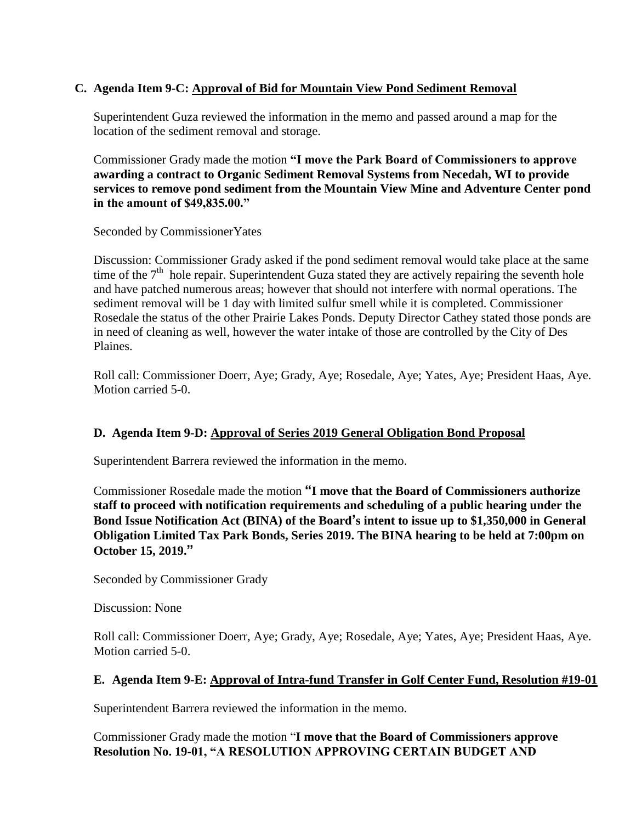## **C. Agenda Item 9-C: Approval of Bid for Mountain View Pond Sediment Removal**

Superintendent Guza reviewed the information in the memo and passed around a map for the location of the sediment removal and storage.

Commissioner Grady made the motion **"I move the Park Board of Commissioners to approve awarding a contract to Organic Sediment Removal Systems from Necedah, WI to provide services to remove pond sediment from the Mountain View Mine and Adventure Center pond in the amount of \$49,835.00."**

Seconded by CommissionerYates

Discussion: Commissioner Grady asked if the pond sediment removal would take place at the same time of the  $7<sup>th</sup>$  hole repair. Superintendent Guza stated they are actively repairing the seventh hole and have patched numerous areas; however that should not interfere with normal operations. The sediment removal will be 1 day with limited sulfur smell while it is completed. Commissioner Rosedale the status of the other Prairie Lakes Ponds. Deputy Director Cathey stated those ponds are in need of cleaning as well, however the water intake of those are controlled by the City of Des Plaines.

Roll call: Commissioner Doerr, Aye; Grady, Aye; Rosedale, Aye; Yates, Aye; President Haas, Aye. Motion carried 5-0.

## **D. Agenda Item 9-D: Approval of Series 2019 General Obligation Bond Proposal**

Superintendent Barrera reviewed the information in the memo.

Commissioner Rosedale made the motion **"I move that the Board of Commissioners authorize staff to proceed with notification requirements and scheduling of a public hearing under the Bond Issue Notification Act (BINA) of the Board's intent to issue up to \$1,350,000 in General Obligation Limited Tax Park Bonds, Series 2019. The BINA hearing to be held at 7:00pm on October 15, 2019."**

Seconded by Commissioner Grady

Discussion: None

Roll call: Commissioner Doerr, Aye; Grady, Aye; Rosedale, Aye; Yates, Aye; President Haas, Aye. Motion carried 5-0.

## **E. Agenda Item 9-E: Approval of Intra-fund Transfer in Golf Center Fund, Resolution #19-01**

Superintendent Barrera reviewed the information in the memo.

Commissioner Grady made the motion "**I move that the Board of Commissioners approve Resolution No. 19-01, "A RESOLUTION APPROVING CERTAIN BUDGET AND**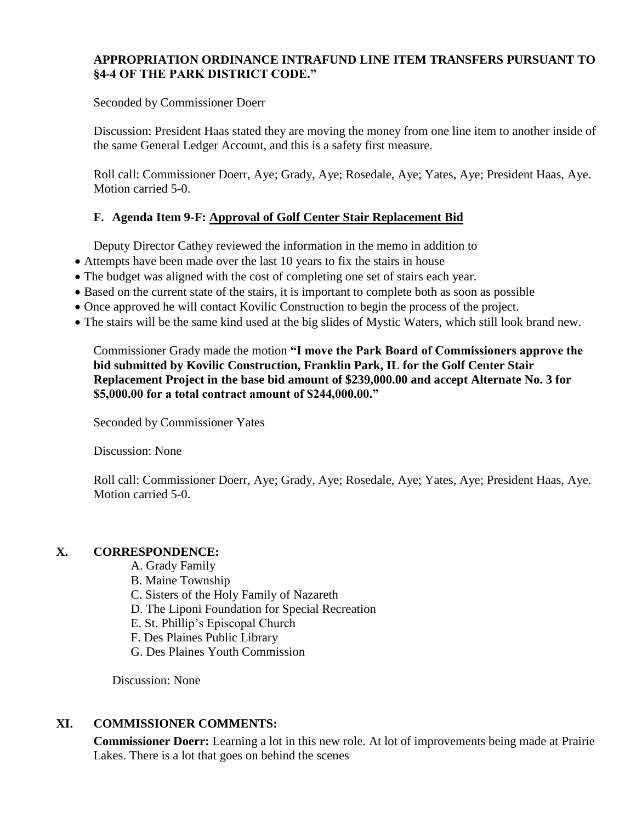## **APPROPRIATION ORDINANCE INTRAFUND LINE ITEM TRANSFERS PURSUANT TO §4-4 OF THE PARK DISTRICT CODE."**

Seconded by Commissioner Doerr

Discussion: President Haas stated they are moving the money from one line item to another inside of the same General Ledger Account, and this is a safety first measure.

Roll call: Commissioner Doerr, Aye; Grady, Aye; Rosedale, Aye; Yates, Aye; President Haas, Aye. Motion carried 5-0.

## **F. Agenda Item 9-F: Approval of Golf Center Stair Replacement Bid**

Deputy Director Cathey reviewed the information in the memo in addition to

- Attempts have been made over the last 10 years to fix the stairs in house
- The budget was aligned with the cost of completing one set of stairs each year.
- Based on the current state of the stairs, it is important to complete both as soon as possible
- Once approved he will contact Kovilic Construction to begin the process of the project.
- The stairs will be the same kind used at the big slides of Mystic Waters, which still look brand new.

Commissioner Grady made the motion **"I move the Park Board of Commissioners approve the bid submitted by Kovilic Construction, Franklin Park, IL for the Golf Center Stair Replacement Project in the base bid amount of \$239,000.00 and accept Alternate No. 3 for \$5,000.00 for a total contract amount of \$244,000.00."**

Seconded by Commissioner Yates

Discussion: None

Roll call: Commissioner Doerr, Aye; Grady, Aye; Rosedale, Aye; Yates, Aye; President Haas, Aye. Motion carried 5-0.

## **X. CORRESPONDENCE:**

- A. Grady Family
- B. Maine Township
- C. Sisters of the Holy Family of Nazareth
- D. The Liponi Foundation for Special Recreation
- E. St. Phillip's Episcopal Church
- F. Des Plaines Public Library
- G. Des Plaines Youth Commission

Discussion: None

## **XI. COMMISSIONER COMMENTS:**

**Commissioner Doerr:** Learning a lot in this new role. At lot of improvements being made at Prairie Lakes. There is a lot that goes on behind the scenes